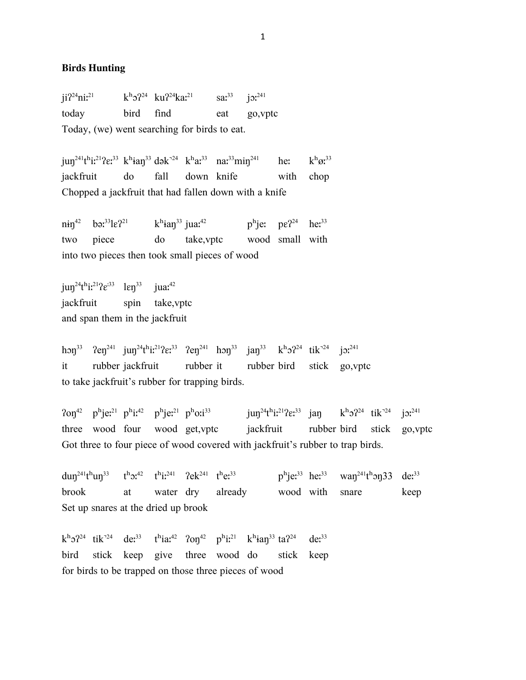## **Birds Hunting**

 $ii^2$ <sup>24</sup>niː<sup>21</sup> kʰɔ<sup>24</sup> ku<sup>224</sup>kaː<sup>21</sup> saː<sup>33</sup> jɔː<sup>241</sup> today bird find eat go,vptc Today, (we) went searching for birds to eat.

 $j$ un<sup>241</sup>t<sup>h</sup>iː<sup>21</sup>?εː<sup>33</sup> kʰian<sup>33</sup> dək<sup>-24</sup> kʰaː<sup>33</sup> naː<sup>33</sup>min<sup>241</sup> heː kʰøː<sup>33</sup> jackfruit do fall down knife with chop Chopped a jackfruit that had fallen down with a knife

 $ni\eta^{42}$  bə:<sup>33</sup>le?<sup>21</sup> kʰian<sup>33</sup> jua:<sup>42</sup> pʰje: pe?<sup>24</sup> he:<sup>33</sup> two piece do take,vptc wood small with into two pieces then took small pieces of wood

 $j$ un<sup>24</sup>t<sup>h</sup>i:<sup>21</sup>? $\varepsilon^{33}$  len<sup>33</sup> jua:<sup>42</sup> jackfruit spin take,vptc and span them in the jackfruit

hon<sup>33</sup>  $2en^{241}$  jun<sup>24</sup>t<sup>h</sup>i<sup>21</sup> $2e^{33}$   $2en^{241}$  hon<sup>33</sup> jan<sup>33</sup> k<sup>h</sup>o<sup>24</sup> tik<sup>-24</sup> jo<sup>241</sup> it rubber jackfruit rubber it rubber bird stick go,vptc to take jackfruit's rubber for trapping birds.

 $20\eta^{42}$  p<sup>h</sup>je<sup>21</sup> p<sup>h</sup>je<sup>21</sup> p<sup>h</sup>je<sup>21</sup> p<sup>h</sup>o:<sup>33</sup> jun<sup>24</sup>t<sup>h</sup>i:<sup>21</sup>?e:<sup>33</sup> jan k<sup>h</sup>o?<sup>24</sup> tik<sup>-24</sup> jo:<sup>241</sup> three wood four wood get,vptc jackfruit rubber bird stick go,vptc Got three to four piece of wood covered with jackfruit's rubber to trap birds.

dun<sup>241</sup>t<sup>h</sup>un<sup>33</sup> t<sup>h</sup>o:<sup>42</sup> t<sup>h</sup>i:<sup>241</sup> ?ek<sup>241</sup> t<sup>h</sup>e:<sup>33</sup> p<sup>h</sup>je:<sup>33</sup> he:<sup>33</sup> wan<sup>241</sup>t<sup>h</sup>on33 de:<sup>33</sup> brook at water dry already wood with snare keep Set up snares at the dried up brook

 $k^{h}$ <sup>24</sup> tik<sup>-24</sup> de<sup>33</sup> t<sup>h</sup>ia<sup>42</sup>  $20\eta^{42}$  p<sup>h</sup>i<sup>21</sup> k<sup>h</sup>ian<sup>33</sup> ta<sup>24</sup> de<sup>33</sup> bird stick keep give three wood do stick keep for birds to be trapped on those three pieces of wood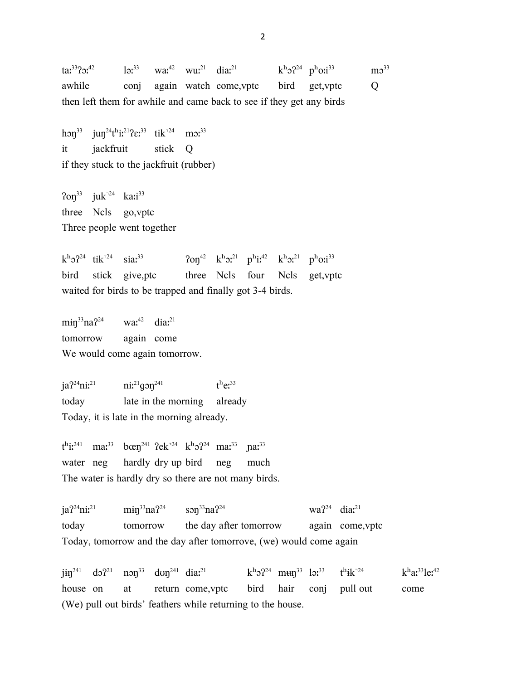$\tan^{33}$ ? $\tan^{42}$  ləː<sup>33</sup> waː<sup>42</sup> wuː<sup>21</sup> diaː<sup>21</sup> kʰɔ<sup>24</sup> pʰoːi<sup>33</sup>  $\text{m}$ <sup>33</sup> awhile conj again watch come,vptc bird get,vptc Q then left them for awhile and came back to see if they get any birds

hon<sup>33</sup> jun<sup>24</sup>t<sup>h</sup>i:<sup>21</sup>? $\varepsilon$ :<sup>33</sup> tik<sup>-24</sup> mo:<sup>33</sup> it jackfruit stick Q if they stuck to the jackfruit (rubber)

 $2$ on<sup>33</sup> juk<sup>-24</sup> ka:i<sup>33</sup> three Ncls go,vptc Three people went together

 $k^h$ o $2^{24}$  tik<sup>-24</sup> sia $x^{33}$   $20\eta^{42}$   $k^h$ o $x^{21}$  p<sup>h</sup>i $x^{42}$   $k^h$ o $x^{21}$  p<sup>h</sup>o:i<sup>33</sup> bird stick give,ptc three Ncls four Ncls get,vptc waited for birds to be trapped and finally got 3-4 birds.

 $min^{33}na^{24}$  wa:<sup>42</sup> dia:<sup>21</sup> tomorrow again come We would come again tomorrow.

 $ja^{24}nii^{21}$   $ni^{21}q33^{241}$  $t^h e^{33}$ today late in the morning already Today, it is late in the morning already.

 $t^{\text{h}}$ i:<sup>241</sup> ma:<sup>33</sup> bœŋ<sup>241</sup> ʔek<sup>¬24</sup> kʰɔʔ<sup>24</sup> ma:<sup>33</sup> ɲa:<sup>33</sup> water neg hardly dry up bird neg much The water is hardly dry so there are not many birds.

 $j a^{2^2} n i^{2^1}$  min<sup>33</sup>na<sup>224</sup> son<sup>33</sup>na<sup>224</sup> wa<sup>224</sup> dia<sup>?1</sup> today tomorrow the day after tomorrow again come,vptc Today, tomorrow and the day after tomorrove, (we) would come again

 $j$ in<sup>241</sup> do<sup>21</sup> non<sup>33</sup> dun<sup>241</sup> dia:<sup>21</sup> kʰo<sup>24</sup> mʉn<sup>33</sup> ləː<sup>33</sup> tʰik<sup>-24</sup>  $k^{\rm h}$ a:<sup>33</sup>le:<sup>42</sup> house on at return come,vptc bird hair conj pull out come (We) pull out birds' feathers while returning to the house.